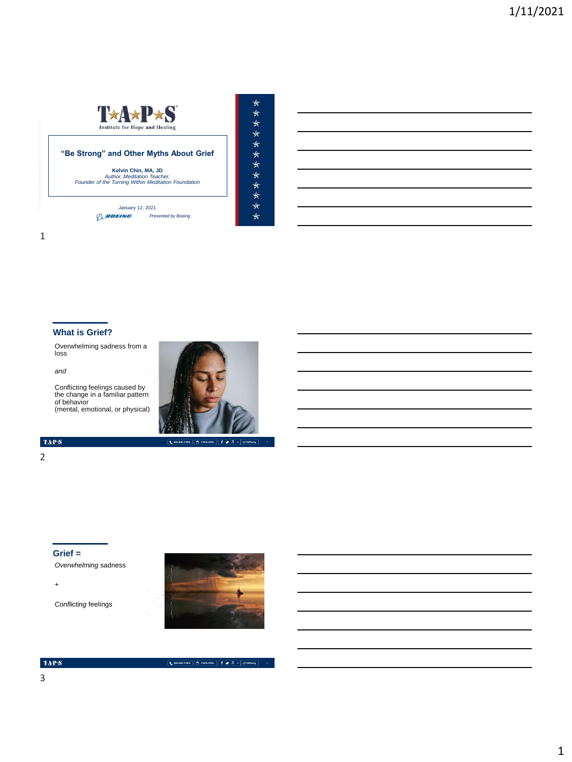

## **"Be Strong" and Other Myths About Grief**

**Kelvin Chin, MA, JD** *Author, Meditation Teacher, Founder of the Turning Within Meditation Foundation*

MEMORIAL DAY WEEKEND | MAY 2018 January 12, 2021 *Presented by Boeing*



## **What is Grief?**

Overwhelming sadness from a loss

*and*

Conflicting feelings caused by the change in a familiar pattern of behavior (mental, emotional, or physical))



**800.959.TAPS TAPS.ORG @TAPSorg**

\*\*\*\*\*\*\*\*\*\*\*\*\*

 $\mbox{TAPS}$ 

#### 2

**Grief =**

*Overwhelming* sadness

+

*Conflicting* feelings



**800.959.TAPS TAPS.ORG @TAPSorg**

#### $\mbox{TA-PS}$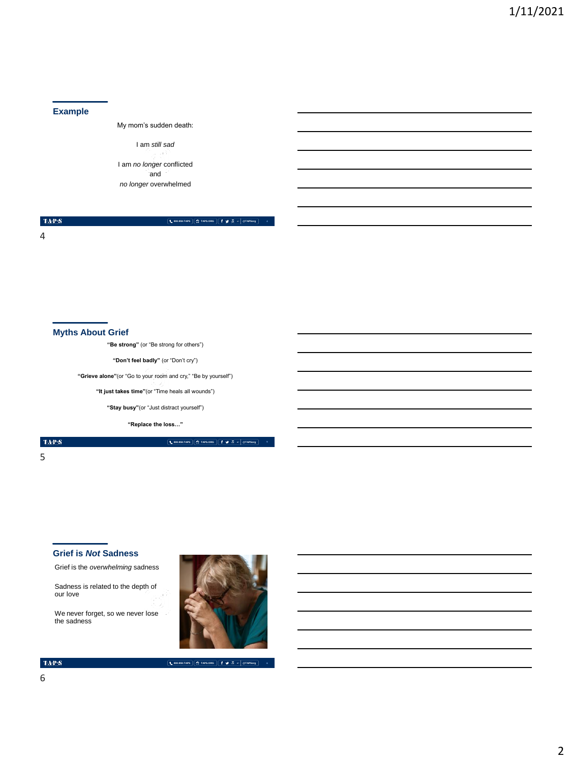#### **Example**

My mom's sudden death:

I am *still sad*

I am *no longer* conflicted and *no longer* overwhelmed

 $\mathrm{TAPS}$ 

**800.959.TAPS TAPS.ORG @TAPSorg**

**4**

4

#### **Myths About Grief**

**"Be strong"** (or "Be strong for others")

**"Don't feel badly"** (or "Don't cry")

**"Grieve alone"**(or "Go to your room and cry," "Be by yourself")

**"It just takes time"**(or "Time heals all wounds")

**"Stay busy"**(or "Just distract yourself")

**"Replace the loss…"**

 $\mbox{TA-PS}$ 

5

#### **Grief is** *Not* **Sadness**

Grief is the *overwhelming* sadness

Sadness is related to the depth of our love

We never forget, so we never lose the sadness



**800.959.TAPS TAPS.ORG @TAPSorg**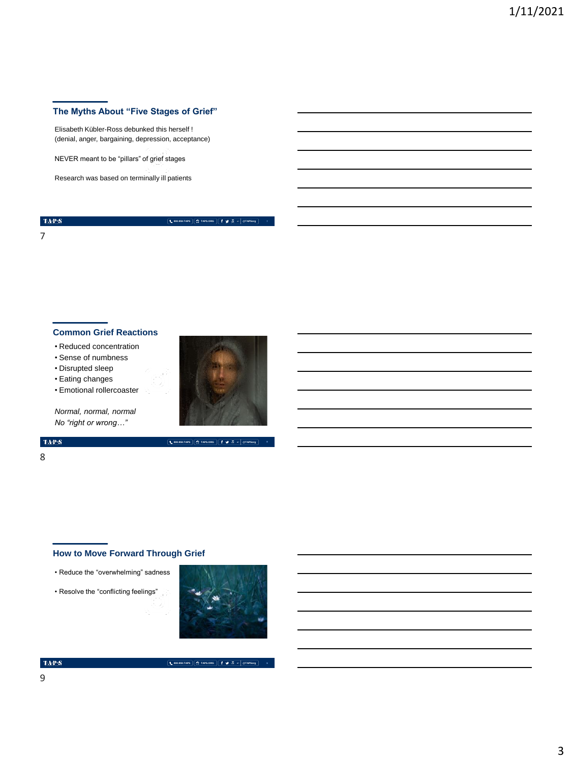## **The Myths About "Five Stages of Grief"**

Elisabeth Kübler-Ross debunked this herself ! (denial, anger, bargaining, depression, acceptance)

NEVER meant to be "pillars" of grief stages

Research was based on terminally ill patients

 $\langle \mathbf{T} \mathbf{A} \mathbf{P} \mathbf{S} \rangle$ 

7

**800.959.TAPS TAPS.ORG @TAPSorg**

# **Common Grief Reactions**

- Reduced concentration
- Sense of numbness
- Disrupted sleep
- Eating changes
- Emotional rollercoaster



**800.959.TAPS TAPS.ORG @TAPSorg**

*Normal, normal, normal No "right or wrong…"*

#### $\mbox{TA-PS}$

#### 8

## **How to Move Forward Through Grief**

- Reduce the "overwhelming" sadness
- Resolve the "conflicting feelings"



**800.959.TAPS TAPS.ORG @TAPSorg**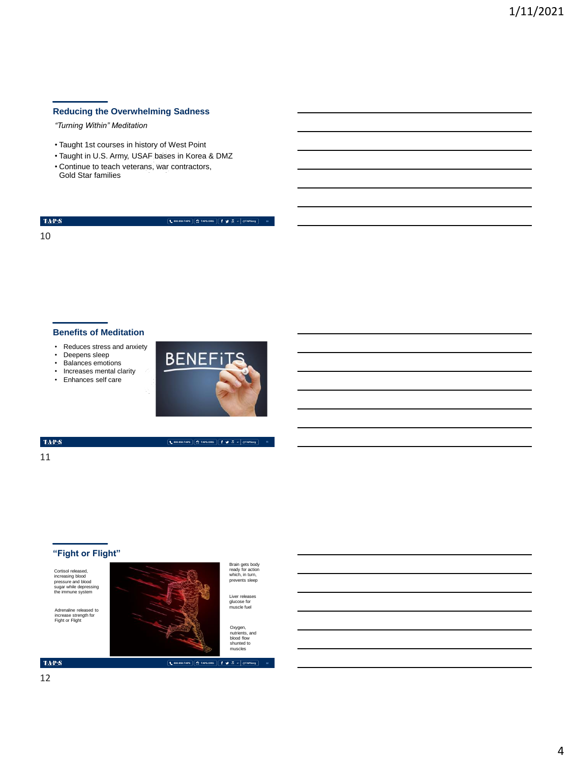## **Reducing the Overwhelming Sadness**

*"Turning Within" Meditation*

- Taught 1st courses in history of West Point
- Taught in U.S. Army, USAF bases in Korea & DMZ
- Continue to teach veterans, war contractors, Gold Star families

 $\langle \mathbf{T} \mathbf{A} \mathbf{P} \mathbf{S} \rangle$ 10

**800.959.TAPS TAPS.ORG @TAPSorg**

#### **Benefits of Meditation**

• Reduces stress and anxiety

- Deepens sleep
- Balances emotions
- Increases mental clarity
- Enhances self care



**800.959.TAPS TAPS.ORG @TAPSorg**

 $\mathrm{TaP}\mathcal{S}$ 

11

## **"Fight or Flight"**

Cortisol released, increasing blood pressure and blood sugar while depressing the immune system

Adrenaline released to increase strength for Fight or Flight



Brain gets body ready for action which, in turn, prevents sleep

Liver releases glucose for muscle fuel

Oxygen,<br>nutrients, and blood flow shunted to muscles

**800.959.TAPS TAPS.ORG @TAPSorg**

 $\mbox{TA-PS}$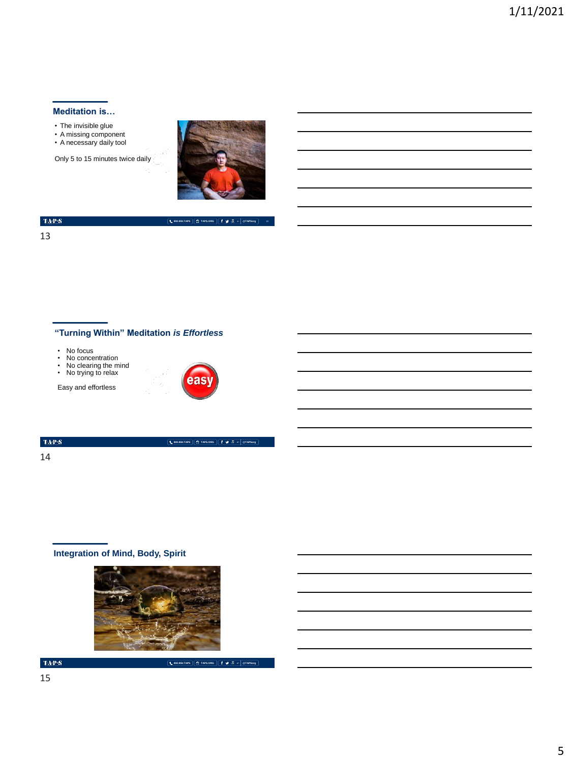## **Meditation is…**

- 
- The invisible glue A missing component A necessary daily tool
- 

Only 5 to 15 minutes twice daily



**800.959.TAPS TAPS.ORG @TAPSorg**

### $\langle \mathbf{T} \mathbf{A} \mathbf{P} \mathbf{S} \rangle$

13

## **"Turning Within" Meditation** *is Effortless*

- 
- No focus No concentration No clearing the mind No trying to relax
- 

Easy and effortless



**800.959.TAPS TAPS.ORG @TAPSorg**

#### $\langle \mathbf{T} \mathbf{A} \mathbf{P} \mathbf{S} \rangle$

14

# **Integration of Mind, Body, Spirit**



 $\mbox{TA-PS}$ 

**800.959.TAPS TAPS.ORG @TAPSorg**

15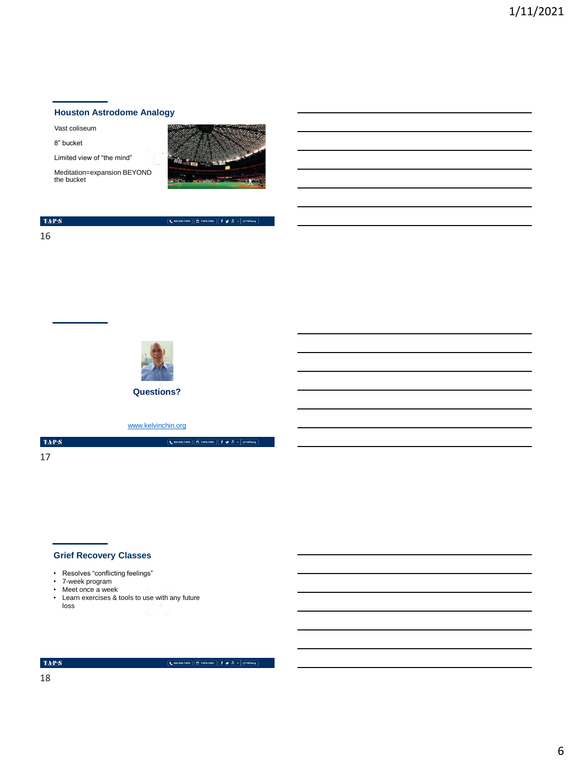## **Houston Astrodome Analogy**

Vast coliseum

8" bucket

Limited view of "the mind"

Meditation=expansion BEYOND the bucket



**800.959.TAPS TAPS.ORG @TAPSorg**

**800.959.TAPS TAPS.ORG @TAPSorg**

|--|

16



**Questions?**

[www.kelvinchin.org](http://www.kelvinchin.org/)

 $\langle \mathbf{T} \mathbf{A} \mathbf{P} \mathbf{S} \rangle$ 17

## **Grief Recovery Classes**

- Resolves "conflicting feelings"
- 7-week program
- Meet once a week
- Learn exercises & tools to use with any future loss

 $\langle \ensuremath{\text{TA-P-S}}\xspace \rangle$ 

**800.959.TAPS TAPS.ORG @TAPSorg**

18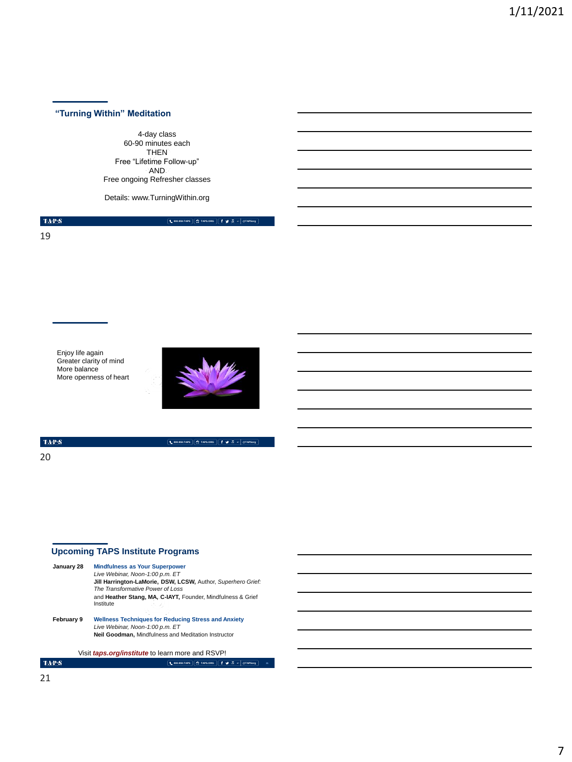## **"Turning Within" Meditation**

4-day class 60-90 minutes each THEN Free "Lifetime Follow-up" AND Free ongoing Refresher classes

Details: www.TurningWithin.org

 $\mbox{TaP}{\cdot}S$ 

19

**800.959.TAPS TAPS.ORG @TAPSorg**

Enjoy life again Greater clarity of mind More balance More openness of heart



 $\mbox{TAPS}$ 

20

**800.959.TAPS TAPS.ORG @TAPSorg**

**21**

# **Upcoming TAPS Institute Programs**

| January 28 | <b>Mindfulness as Your Superpower</b><br>Live Webinar, Noon-1:00 p.m. ET<br>Jill Harrington-LaMorie, DSW, LCSW, Author, Superhero Grief:<br>The Transformative Power of Loss<br>and Heather Stang, MA, C-IAYT, Founder, Mindfulness & Grief<br>Institute |
|------------|----------------------------------------------------------------------------------------------------------------------------------------------------------------------------------------------------------------------------------------------------------|
| February 9 | <b>Wellness Techniques for Reducing Stress and Anxiety</b><br>Live Webinar, Noon-1:00 p.m. ET<br><b>Neil Goodman.</b> Mindfulness and Meditation Instructor                                                                                              |
|            | Visit <i>taps.org/institute</i> to learn more and RSVP!                                                                                                                                                                                                  |
|            | <b>C: TAPS.ORG</b><br>$900 -$<br>٠<br><b>1.</b> 800.959.TAPS<br><b>GTAPRAN</b>                                                                                                                                                                           |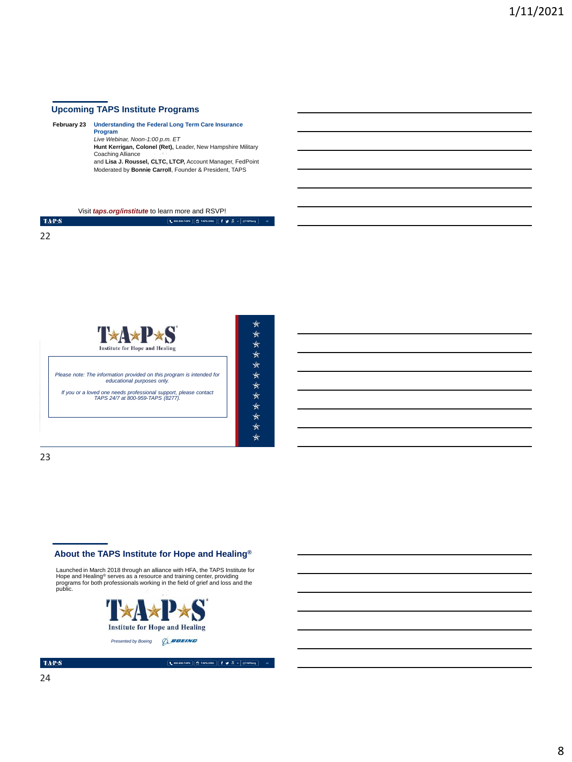## **Upcoming TAPS Institute Programs**

**February 23 Understanding the Federal Long Term Care Insurance Program** *Live Webinar, Noon-1:00 p.m. ET* **Hunt Kerrigan, Colonel (Ret),** Leader, New Hampshire Military

Coaching Alliance and **Lisa J. Roussel, CLTC, LTCP,** Account Manager, FedPoint Moderated by **Bonnie Carroll**, Founder & President, TAPS

Visit *taps.org/institute* to learn more and RSVP!

| <b>TAPS</b>       | <b>LEODISOLTAPS ET TAPS.ORG f y</b> (C  eTAPSorg |
|-------------------|--------------------------------------------------|
| <b>CONTRACTOR</b> | 22                                               |
| 22                |                                                  |



MEMORIAL DAY WEEKEND | MAY 2018

| ₩   |
|-----|
| ∗   |
| ∗   |
| ₩   |
| ∗   |
| ∗   |
| ∗   |
| ₩   |
| ∗   |
| ₩   |
| ₩   |
| -1- |

**800.959.TAPS TAPS.ORG @TAPSorg**

**800.959.TAPS TAPS.ORG @TAPSorg**

23

#### **About the TAPS Institute for Hope and Healing®**

Launched in March 2018 through an alliance with HFA, the TAPS Institute for<br>Hope and Healing<sup>®</sup> serves as a resource and training center, providing<br>programs for both professionals working in the field of grief and loss and



 $\mbox{TA-PS}$